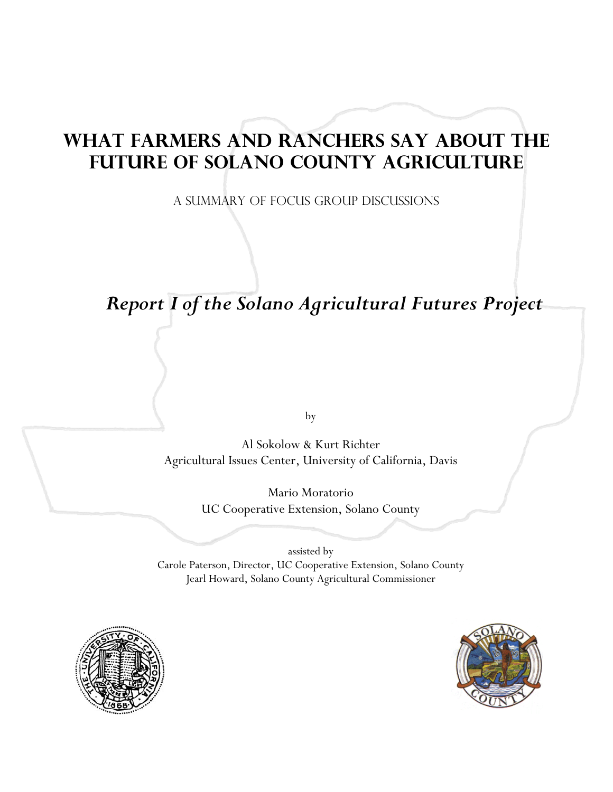# **WHAT FARMERS AND RANCHERS SAY ABOUT THE FUTURE OF SOLANO COUNTY AGRICULTURE**

A SUMMARY OF FOCUS GROUP DISCUSSIONS

# *Report I of the Solano Agricultural Futures Project*

by

Al Sokolow & Kurt Richter Agricultural Issues Center, University of California, Davis

> Mario Moratorio UC Cooperative Extension, Solano County

assisted by Carole Paterson, Director, UC Cooperative Extension, Solano County Jearl Howard, Solano County Agricultural Commissioner



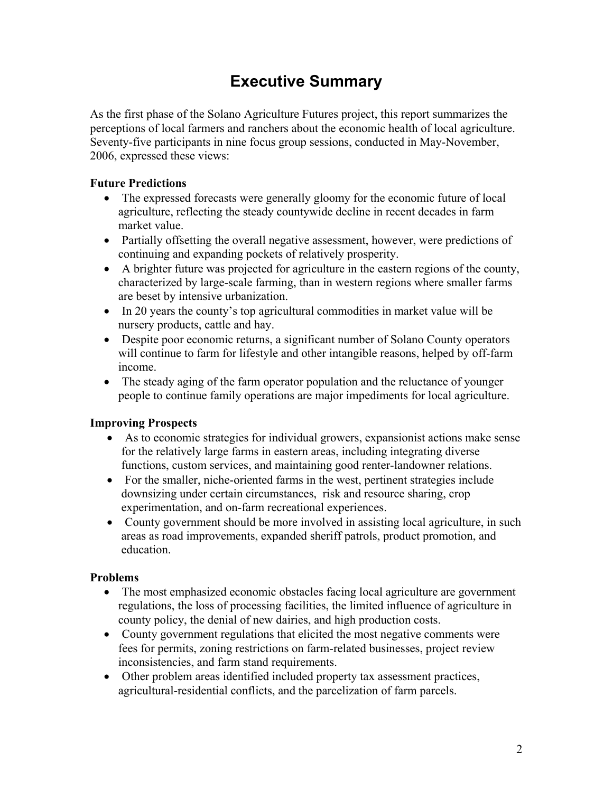## **Executive Summary**

As the first phase of the Solano Agriculture Futures project, this report summarizes the perceptions of local farmers and ranchers about the economic health of local agriculture. Seventy-five participants in nine focus group sessions, conducted in May-November, 2006, expressed these views:

### **Future Predictions**

- The expressed forecasts were generally gloomy for the economic future of local agriculture, reflecting the steady countywide decline in recent decades in farm market value.
- Partially offsetting the overall negative assessment, however, were predictions of continuing and expanding pockets of relatively prosperity.
- A brighter future was projected for agriculture in the eastern regions of the county, characterized by large-scale farming, than in western regions where smaller farms are beset by intensive urbanization.
- In 20 years the county's top agricultural commodities in market value will be nursery products, cattle and hay.
- Despite poor economic returns, a significant number of Solano County operators will continue to farm for lifestyle and other intangible reasons, helped by off-farm income.
- The steady aging of the farm operator population and the reluctance of younger people to continue family operations are major impediments for local agriculture.

### **Improving Prospects**

- As to economic strategies for individual growers, expansionist actions make sense for the relatively large farms in eastern areas, including integrating diverse functions, custom services, and maintaining good renter-landowner relations.
- For the smaller, niche-oriented farms in the west, pertinent strategies include downsizing under certain circumstances, risk and resource sharing, crop experimentation, and on-farm recreational experiences.
- County government should be more involved in assisting local agriculture, in such areas as road improvements, expanded sheriff patrols, product promotion, and education.

#### **Problems**

- The most emphasized economic obstacles facing local agriculture are government regulations, the loss of processing facilities, the limited influence of agriculture in county policy, the denial of new dairies, and high production costs.
- County government regulations that elicited the most negative comments were fees for permits, zoning restrictions on farm-related businesses, project review inconsistencies, and farm stand requirements.
- Other problem areas identified included property tax assessment practices, agricultural-residential conflicts, and the parcelization of farm parcels.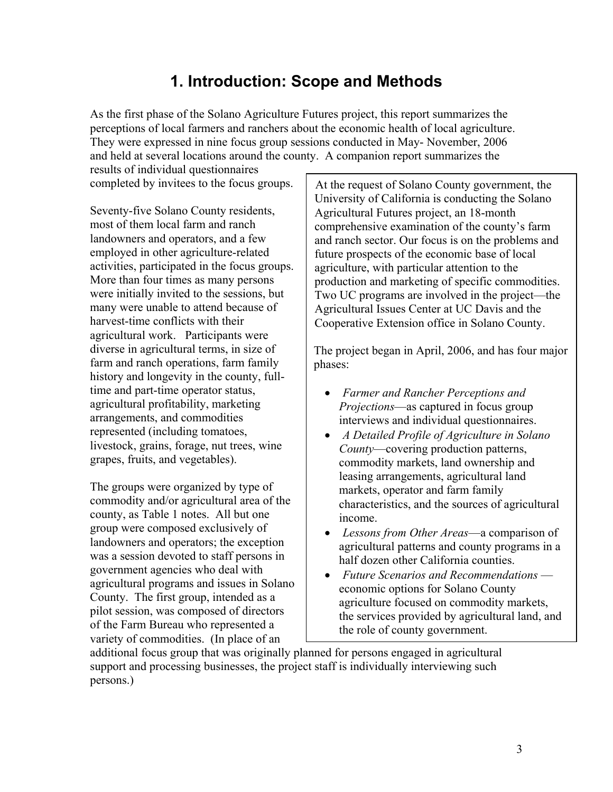## **1. Introduction: Scope and Methods**

As the first phase of the Solano Agriculture Futures project, this report summarizes the perceptions of local farmers and ranchers about the economic health of local agriculture. They were expressed in nine focus group sessions conducted in May- November, 2006 and held at several locations around the county. A companion report summarizes the

results of individual questionnaires completed by invitees to the focus groups.

Seventy-five Solano County residents, most of them local farm and ranch landowners and operators, and a few employed in other agriculture-related activities, participated in the focus groups. More than four times as many persons were initially invited to the sessions, but many were unable to attend because of harvest-time conflicts with their agricultural work. Participants were diverse in agricultural terms, in size of farm and ranch operations, farm family history and longevity in the county, fulltime and part-time operator status, agricultural profitability, marketing arrangements, and commodities represented (including tomatoes, livestock, grains, forage, nut trees, wine grapes, fruits, and vegetables).

The groups were organized by type of commodity and/or agricultural area of the county, as Table 1 notes. All but one group were composed exclusively of landowners and operators; the exception was a session devoted to staff persons in government agencies who deal with agricultural programs and issues in Solano County. The first group, intended as a pilot session, was composed of directors of the Farm Bureau who represented a variety of commodities. (In place of an

At the request of Solano County government, the University of California is conducting the Solano Agricultural Futures project, an 18-month comprehensive examination of the county's farm and ranch sector. Our focus is on the problems and future prospects of the economic base of local agriculture, with particular attention to the production and marketing of specific commodities. Two UC programs are involved in the project—the Agricultural Issues Center at UC Davis and the Cooperative Extension office in Solano County.

The project began in April, 2006, and has four major phases:

- *Farmer and Rancher Perceptions and Projections*—as captured in focus group interviews and individual questionnaires.
- *A Detailed Profile of Agriculture in Solano County*—covering production patterns, commodity markets, land ownership and leasing arrangements, agricultural land markets, operator and farm family characteristics, and the sources of agricultural income.
- *Lessons from Other Areas*—a comparison of agricultural patterns and county programs in a half dozen other California counties.
- *Future Scenarios and Recommendations*  economic options for Solano County agriculture focused on commodity markets, the services provided by agricultural land, and the role of county government.

additional focus group that was originally planned for persons engaged in agricultural support and processing businesses, the project staff is individually interviewing such persons.)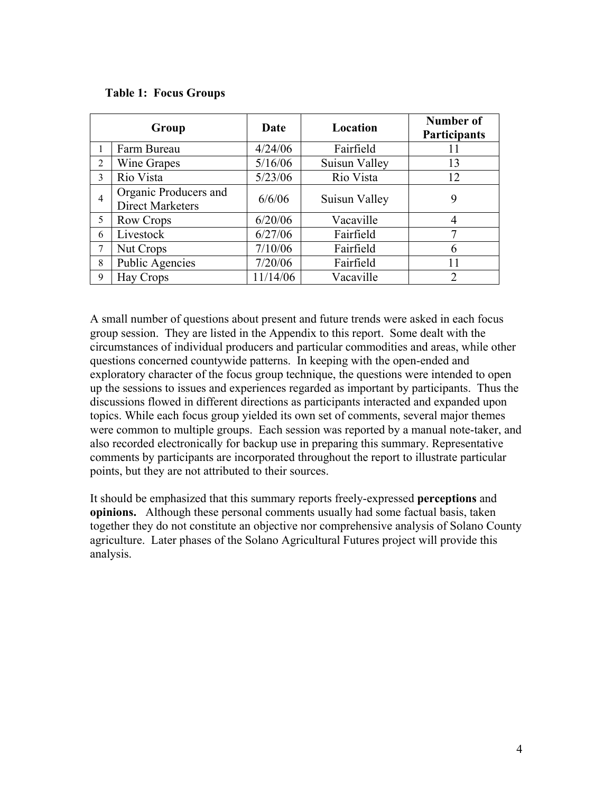|                | Group                                            | Date     | Location      | Number of<br><b>Participants</b> |
|----------------|--------------------------------------------------|----------|---------------|----------------------------------|
|                | Farm Bureau                                      | 4/24/06  | Fairfield     | 11                               |
| $\overline{2}$ | Wine Grapes                                      | 5/16/06  | Suisun Valley | 13                               |
| 3              | Rio Vista                                        | 5/23/06  | Rio Vista     | 12                               |
| 4              | Organic Producers and<br><b>Direct Marketers</b> | 6/6/06   | Suisun Valley | 9                                |
| 5              | Row Crops                                        | 6/20/06  | Vacaville     | 4                                |
| 6              | Livestock                                        | 6/27/06  | Fairfield     | 7                                |
| 7              | Nut Crops                                        | 7/10/06  | Fairfield     | 6                                |
| 8              | Public Agencies                                  | 7/20/06  | Fairfield     | 11                               |
| 9              | <b>Hay Crops</b>                                 | 11/14/06 | Vacaville     | $\overline{2}$                   |

A small number of questions about present and future trends were asked in each focus group session. They are listed in the Appendix to this report. Some dealt with the circumstances of individual producers and particular commodities and areas, while other questions concerned countywide patterns. In keeping with the open-ended and exploratory character of the focus group technique, the questions were intended to open up the sessions to issues and experiences regarded as important by participants. Thus the discussions flowed in different directions as participants interacted and expanded upon topics. While each focus group yielded its own set of comments, several major themes were common to multiple groups. Each session was reported by a manual note-taker, and also recorded electronically for backup use in preparing this summary. Representative comments by participants are incorporated throughout the report to illustrate particular points, but they are not attributed to their sources.

It should be emphasized that this summary reports freely-expressed **perceptions** and **opinions.** Although these personal comments usually had some factual basis, taken together they do not constitute an objective nor comprehensive analysis of Solano County agriculture. Later phases of the Solano Agricultural Futures project will provide this analysis.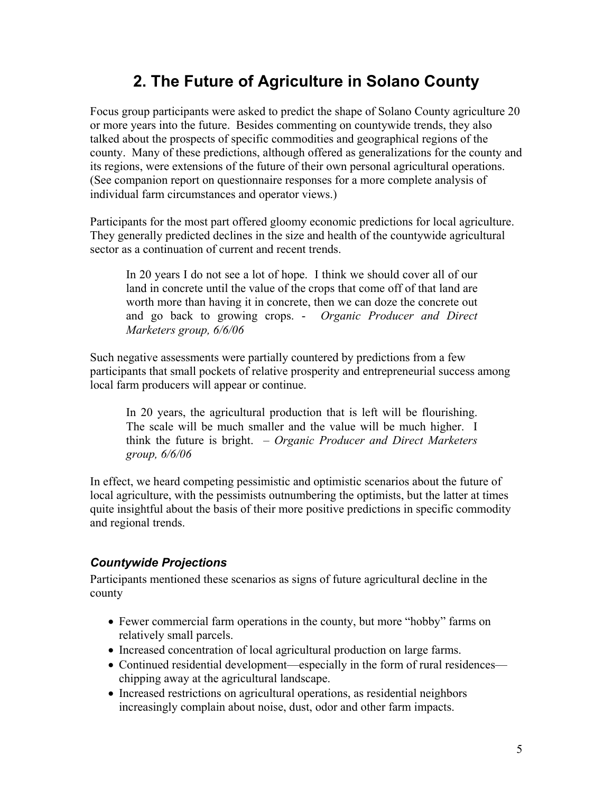## **2. The Future of Agriculture in Solano County**

Focus group participants were asked to predict the shape of Solano County agriculture 20 or more years into the future. Besides commenting on countywide trends, they also talked about the prospects of specific commodities and geographical regions of the county. Many of these predictions, although offered as generalizations for the county and its regions, were extensions of the future of their own personal agricultural operations. (See companion report on questionnaire responses for a more complete analysis of individual farm circumstances and operator views.)

Participants for the most part offered gloomy economic predictions for local agriculture. They generally predicted declines in the size and health of the countywide agricultural sector as a continuation of current and recent trends.

In 20 years I do not see a lot of hope. I think we should cover all of our land in concrete until the value of the crops that come off of that land are worth more than having it in concrete, then we can doze the concrete out and go back to growing crops. - *Organic Producer and Direct Marketers group, 6/6/06*

Such negative assessments were partially countered by predictions from a few participants that small pockets of relative prosperity and entrepreneurial success among local farm producers will appear or continue.

In 20 years, the agricultural production that is left will be flourishing. The scale will be much smaller and the value will be much higher. I think the future is bright. – *Organic Producer and Direct Marketers group, 6/6/06* 

In effect, we heard competing pessimistic and optimistic scenarios about the future of local agriculture, with the pessimists outnumbering the optimists, but the latter at times quite insightful about the basis of their more positive predictions in specific commodity and regional trends.

### *Countywide Projections*

Participants mentioned these scenarios as signs of future agricultural decline in the county

- Fewer commercial farm operations in the county, but more "hobby" farms on relatively small parcels.
- Increased concentration of local agricultural production on large farms.
- Continued residential development—especially in the form of rural residences chipping away at the agricultural landscape.
- Increased restrictions on agricultural operations, as residential neighbors increasingly complain about noise, dust, odor and other farm impacts.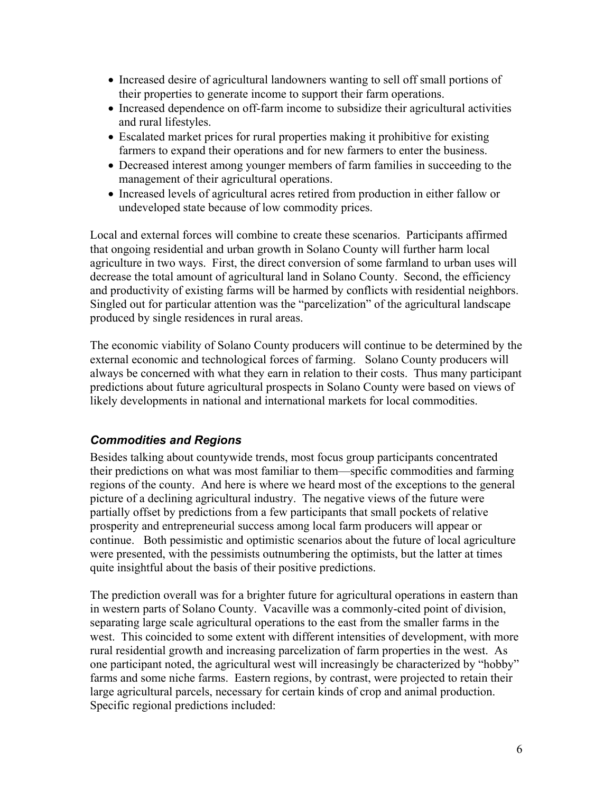- Increased desire of agricultural landowners wanting to sell off small portions of their properties to generate income to support their farm operations.
- Increased dependence on off-farm income to subsidize their agricultural activities and rural lifestyles.
- Escalated market prices for rural properties making it prohibitive for existing farmers to expand their operations and for new farmers to enter the business.
- Decreased interest among younger members of farm families in succeeding to the management of their agricultural operations.
- Increased levels of agricultural acres retired from production in either fallow or undeveloped state because of low commodity prices.

Local and external forces will combine to create these scenarios. Participants affirmed that ongoing residential and urban growth in Solano County will further harm local agriculture in two ways. First, the direct conversion of some farmland to urban uses will decrease the total amount of agricultural land in Solano County. Second, the efficiency and productivity of existing farms will be harmed by conflicts with residential neighbors. Singled out for particular attention was the "parcelization" of the agricultural landscape produced by single residences in rural areas.

The economic viability of Solano County producers will continue to be determined by the external economic and technological forces of farming. Solano County producers will always be concerned with what they earn in relation to their costs. Thus many participant predictions about future agricultural prospects in Solano County were based on views of likely developments in national and international markets for local commodities.

### *Commodities and Regions*

Besides talking about countywide trends, most focus group participants concentrated their predictions on what was most familiar to them—specific commodities and farming regions of the county. And here is where we heard most of the exceptions to the general picture of a declining agricultural industry. The negative views of the future were partially offset by predictions from a few participants that small pockets of relative prosperity and entrepreneurial success among local farm producers will appear or continue. Both pessimistic and optimistic scenarios about the future of local agriculture were presented, with the pessimists outnumbering the optimists, but the latter at times quite insightful about the basis of their positive predictions.

The prediction overall was for a brighter future for agricultural operations in eastern than in western parts of Solano County. Vacaville was a commonly-cited point of division, separating large scale agricultural operations to the east from the smaller farms in the west. This coincided to some extent with different intensities of development, with more rural residential growth and increasing parcelization of farm properties in the west. As one participant noted, the agricultural west will increasingly be characterized by "hobby" farms and some niche farms. Eastern regions, by contrast, were projected to retain their large agricultural parcels, necessary for certain kinds of crop and animal production. Specific regional predictions included: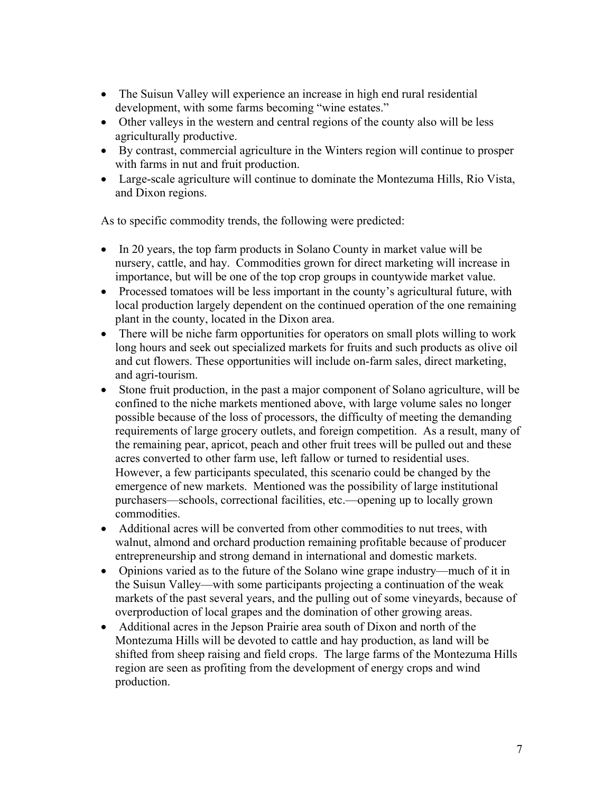- The Suisun Valley will experience an increase in high end rural residential development, with some farms becoming "wine estates."
- Other valleys in the western and central regions of the county also will be less agriculturally productive.
- By contrast, commercial agriculture in the Winters region will continue to prosper with farms in nut and fruit production.
- Large-scale agriculture will continue to dominate the Montezuma Hills, Rio Vista, and Dixon regions.

As to specific commodity trends, the following were predicted:

- In 20 years, the top farm products in Solano County in market value will be nursery, cattle, and hay. Commodities grown for direct marketing will increase in importance, but will be one of the top crop groups in countywide market value.
- Processed tomatoes will be less important in the county's agricultural future, with local production largely dependent on the continued operation of the one remaining plant in the county, located in the Dixon area.
- There will be niche farm opportunities for operators on small plots willing to work long hours and seek out specialized markets for fruits and such products as olive oil and cut flowers. These opportunities will include on-farm sales, direct marketing, and agri-tourism.
- Stone fruit production, in the past a major component of Solano agriculture, will be confined to the niche markets mentioned above, with large volume sales no longer possible because of the loss of processors, the difficulty of meeting the demanding requirements of large grocery outlets, and foreign competition. As a result, many of the remaining pear, apricot, peach and other fruit trees will be pulled out and these acres converted to other farm use, left fallow or turned to residential uses. However, a few participants speculated, this scenario could be changed by the emergence of new markets. Mentioned was the possibility of large institutional purchasers—schools, correctional facilities, etc.—opening up to locally grown commodities.
- Additional acres will be converted from other commodities to nut trees, with walnut, almond and orchard production remaining profitable because of producer entrepreneurship and strong demand in international and domestic markets.
- Opinions varied as to the future of the Solano wine grape industry—much of it in the Suisun Valley—with some participants projecting a continuation of the weak markets of the past several years, and the pulling out of some vineyards, because of overproduction of local grapes and the domination of other growing areas.
- Additional acres in the Jepson Prairie area south of Dixon and north of the Montezuma Hills will be devoted to cattle and hay production, as land will be shifted from sheep raising and field crops. The large farms of the Montezuma Hills region are seen as profiting from the development of energy crops and wind production.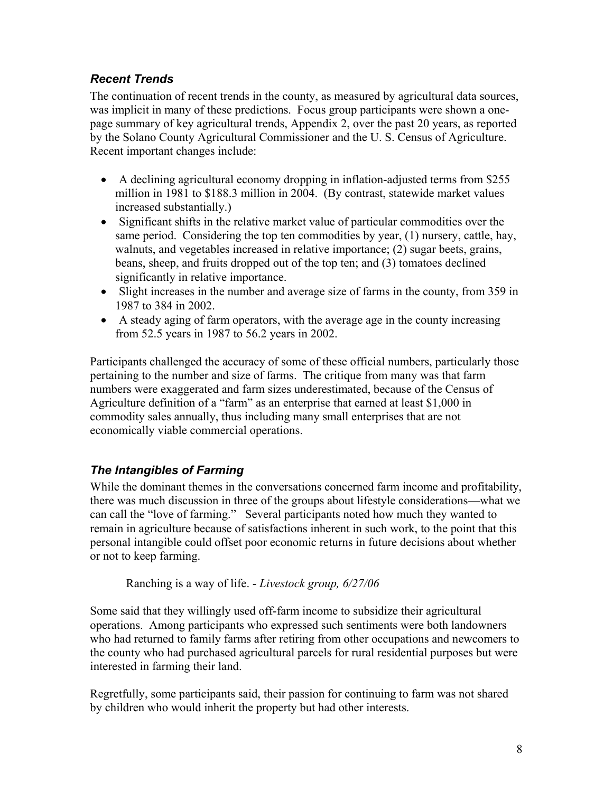## *Recent Trends*

The continuation of recent trends in the county, as measured by agricultural data sources, was implicit in many of these predictions. Focus group participants were shown a onepage summary of key agricultural trends, Appendix 2, over the past 20 years, as reported by the Solano County Agricultural Commissioner and the U. S. Census of Agriculture. Recent important changes include:

- A declining agricultural economy dropping in inflation-adjusted terms from \$255 million in 1981 to \$188.3 million in 2004. (By contrast, statewide market values increased substantially.)
- Significant shifts in the relative market value of particular commodities over the same period. Considering the top ten commodities by year, (1) nursery, cattle, hay, walnuts, and vegetables increased in relative importance; (2) sugar beets, grains, beans, sheep, and fruits dropped out of the top ten; and (3) tomatoes declined significantly in relative importance.
- Slight increases in the number and average size of farms in the county, from 359 in 1987 to 384 in 2002.
- A steady aging of farm operators, with the average age in the county increasing from 52.5 years in 1987 to 56.2 years in 2002.

Participants challenged the accuracy of some of these official numbers, particularly those pertaining to the number and size of farms. The critique from many was that farm numbers were exaggerated and farm sizes underestimated, because of the Census of Agriculture definition of a "farm" as an enterprise that earned at least \$1,000 in commodity sales annually, thus including many small enterprises that are not economically viable commercial operations.

## *The Intangibles of Farming*

While the dominant themes in the conversations concerned farm income and profitability, there was much discussion in three of the groups about lifestyle considerations—what we can call the "love of farming." Several participants noted how much they wanted to remain in agriculture because of satisfactions inherent in such work, to the point that this personal intangible could offset poor economic returns in future decisions about whether or not to keep farming.

Ranching is a way of life. - *Livestock group, 6/27/06*

Some said that they willingly used off-farm income to subsidize their agricultural operations. Among participants who expressed such sentiments were both landowners who had returned to family farms after retiring from other occupations and newcomers to the county who had purchased agricultural parcels for rural residential purposes but were interested in farming their land.

Regretfully, some participants said, their passion for continuing to farm was not shared by children who would inherit the property but had other interests.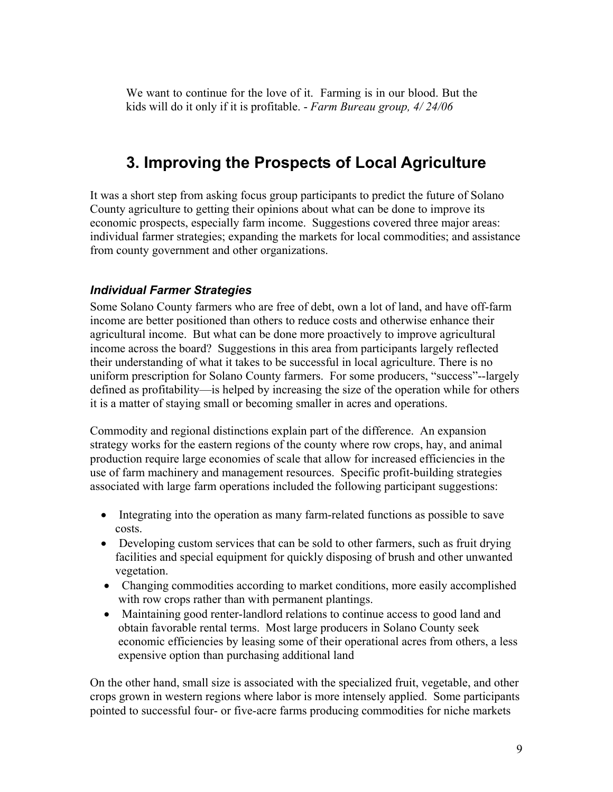We want to continue for the love of it. Farming is in our blood. But the kids will do it only if it is profitable. - *Farm Bureau group, 4/ 24/06*

## **3. Improving the Prospects of Local Agriculture**

It was a short step from asking focus group participants to predict the future of Solano County agriculture to getting their opinions about what can be done to improve its economic prospects, especially farm income. Suggestions covered three major areas: individual farmer strategies; expanding the markets for local commodities; and assistance from county government and other organizations.

### *Individual Farmer Strategies*

Some Solano County farmers who are free of debt, own a lot of land, and have off-farm income are better positioned than others to reduce costs and otherwise enhance their agricultural income. But what can be done more proactively to improve agricultural income across the board? Suggestions in this area from participants largely reflected their understanding of what it takes to be successful in local agriculture. There is no uniform prescription for Solano County farmers. For some producers, "success"--largely defined as profitability—is helped by increasing the size of the operation while for others it is a matter of staying small or becoming smaller in acres and operations.

Commodity and regional distinctions explain part of the difference. An expansion strategy works for the eastern regions of the county where row crops, hay, and animal production require large economies of scale that allow for increased efficiencies in the use of farm machinery and management resources. Specific profit-building strategies associated with large farm operations included the following participant suggestions:

- Integrating into the operation as many farm-related functions as possible to save costs.
- Developing custom services that can be sold to other farmers, such as fruit drying facilities and special equipment for quickly disposing of brush and other unwanted vegetation.
- Changing commodities according to market conditions, more easily accomplished with row crops rather than with permanent plantings.
- Maintaining good renter-landlord relations to continue access to good land and obtain favorable rental terms. Most large producers in Solano County seek economic efficiencies by leasing some of their operational acres from others, a less expensive option than purchasing additional land

On the other hand, small size is associated with the specialized fruit, vegetable, and other crops grown in western regions where labor is more intensely applied. Some participants pointed to successful four- or five-acre farms producing commodities for niche markets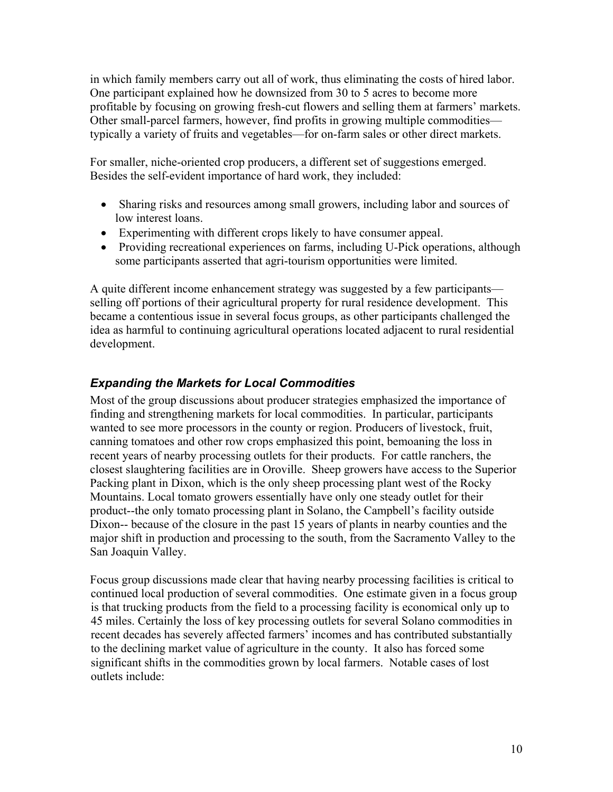in which family members carry out all of work, thus eliminating the costs of hired labor. One participant explained how he downsized from 30 to 5 acres to become more profitable by focusing on growing fresh-cut flowers and selling them at farmers' markets. Other small-parcel farmers, however, find profits in growing multiple commodities typically a variety of fruits and vegetables—for on-farm sales or other direct markets.

For smaller, niche-oriented crop producers, a different set of suggestions emerged. Besides the self-evident importance of hard work, they included:

- Sharing risks and resources among small growers, including labor and sources of low interest loans.
- Experimenting with different crops likely to have consumer appeal.
- Providing recreational experiences on farms, including U-Pick operations, although some participants asserted that agri-tourism opportunities were limited.

A quite different income enhancement strategy was suggested by a few participants selling off portions of their agricultural property for rural residence development. This became a contentious issue in several focus groups, as other participants challenged the idea as harmful to continuing agricultural operations located adjacent to rural residential development.

## *Expanding the Markets for Local Commodities*

Most of the group discussions about producer strategies emphasized the importance of finding and strengthening markets for local commodities. In particular, participants wanted to see more processors in the county or region. Producers of livestock, fruit, canning tomatoes and other row crops emphasized this point, bemoaning the loss in recent years of nearby processing outlets for their products. For cattle ranchers, the closest slaughtering facilities are in Oroville. Sheep growers have access to the Superior Packing plant in Dixon, which is the only sheep processing plant west of the Rocky Mountains. Local tomato growers essentially have only one steady outlet for their product--the only tomato processing plant in Solano, the Campbell's facility outside Dixon-- because of the closure in the past 15 years of plants in nearby counties and the major shift in production and processing to the south, from the Sacramento Valley to the San Joaquin Valley.

Focus group discussions made clear that having nearby processing facilities is critical to continued local production of several commodities. One estimate given in a focus group is that trucking products from the field to a processing facility is economical only up to 45 miles. Certainly the loss of key processing outlets for several Solano commodities in recent decades has severely affected farmers' incomes and has contributed substantially to the declining market value of agriculture in the county. It also has forced some significant shifts in the commodities grown by local farmers. Notable cases of lost outlets include: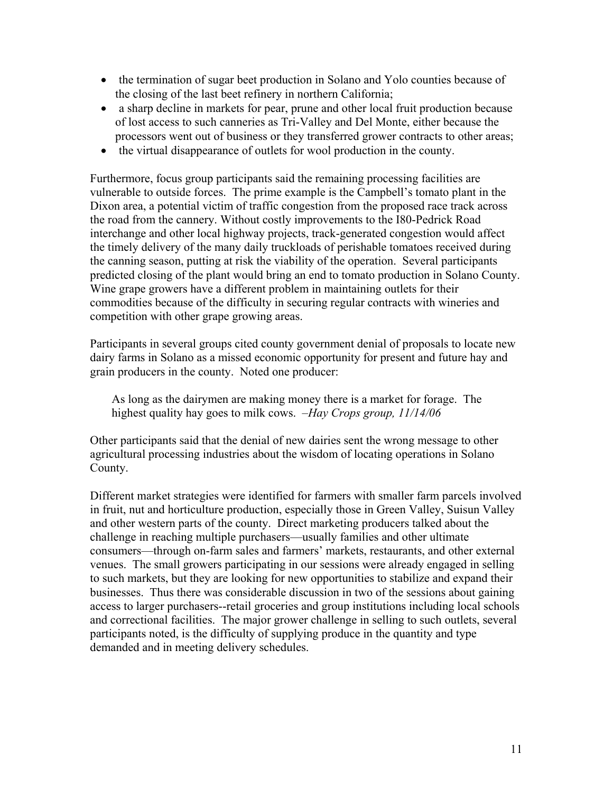- the termination of sugar beet production in Solano and Yolo counties because of the closing of the last beet refinery in northern California;
- a sharp decline in markets for pear, prune and other local fruit production because of lost access to such canneries as Tri-Valley and Del Monte, either because the processors went out of business or they transferred grower contracts to other areas;
- the virtual disappearance of outlets for wool production in the county.

Furthermore, focus group participants said the remaining processing facilities are vulnerable to outside forces. The prime example is the Campbell's tomato plant in the Dixon area, a potential victim of traffic congestion from the proposed race track across the road from the cannery. Without costly improvements to the I80-Pedrick Road interchange and other local highway projects, track-generated congestion would affect the timely delivery of the many daily truckloads of perishable tomatoes received during the canning season, putting at risk the viability of the operation. Several participants predicted closing of the plant would bring an end to tomato production in Solano County. Wine grape growers have a different problem in maintaining outlets for their commodities because of the difficulty in securing regular contracts with wineries and competition with other grape growing areas.

Participants in several groups cited county government denial of proposals to locate new dairy farms in Solano as a missed economic opportunity for present and future hay and grain producers in the county. Noted one producer:

As long as the dairymen are making money there is a market for forage. The highest quality hay goes to milk cows. *–Hay Crops group, 11/14/06* 

Other participants said that the denial of new dairies sent the wrong message to other agricultural processing industries about the wisdom of locating operations in Solano County.

Different market strategies were identified for farmers with smaller farm parcels involved in fruit, nut and horticulture production, especially those in Green Valley, Suisun Valley and other western parts of the county. Direct marketing producers talked about the challenge in reaching multiple purchasers—usually families and other ultimate consumers—through on-farm sales and farmers' markets, restaurants, and other external venues. The small growers participating in our sessions were already engaged in selling to such markets, but they are looking for new opportunities to stabilize and expand their businesses. Thus there was considerable discussion in two of the sessions about gaining access to larger purchasers--retail groceries and group institutions including local schools and correctional facilities. The major grower challenge in selling to such outlets, several participants noted, is the difficulty of supplying produce in the quantity and type demanded and in meeting delivery schedules.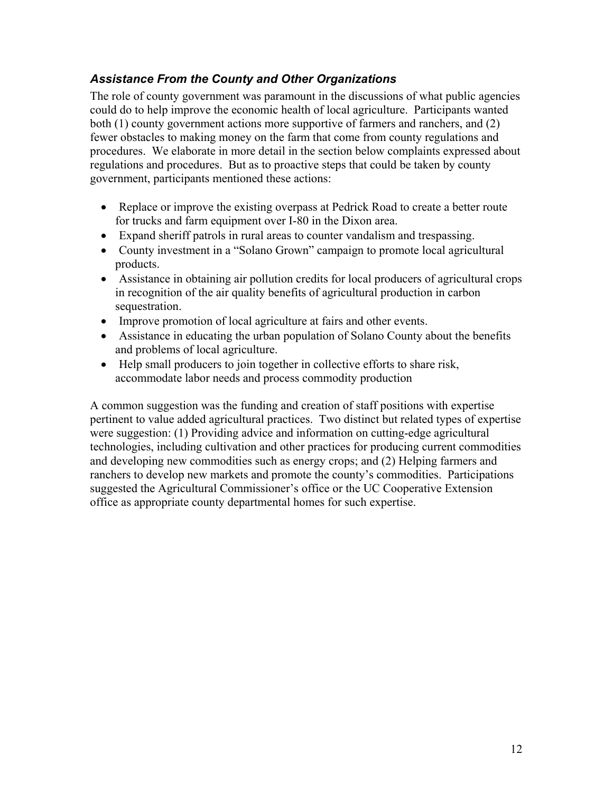## *Assistance From the County and Other Organizations*

The role of county government was paramount in the discussions of what public agencies could do to help improve the economic health of local agriculture. Participants wanted both (1) county government actions more supportive of farmers and ranchers, and (2) fewer obstacles to making money on the farm that come from county regulations and procedures. We elaborate in more detail in the section below complaints expressed about regulations and procedures. But as to proactive steps that could be taken by county government, participants mentioned these actions:

- Replace or improve the existing overpass at Pedrick Road to create a better route for trucks and farm equipment over I-80 in the Dixon area.
- Expand sheriff patrols in rural areas to counter vandalism and trespassing.
- County investment in a "Solano Grown" campaign to promote local agricultural products.
- Assistance in obtaining air pollution credits for local producers of agricultural crops in recognition of the air quality benefits of agricultural production in carbon sequestration.
- Improve promotion of local agriculture at fairs and other events.
- Assistance in educating the urban population of Solano County about the benefits and problems of local agriculture.
- Help small producers to join together in collective efforts to share risk, accommodate labor needs and process commodity production

A common suggestion was the funding and creation of staff positions with expertise pertinent to value added agricultural practices. Two distinct but related types of expertise were suggestion: (1) Providing advice and information on cutting-edge agricultural technologies, including cultivation and other practices for producing current commodities and developing new commodities such as energy crops; and (2) Helping farmers and ranchers to develop new markets and promote the county's commodities. Participations suggested the Agricultural Commissioner's office or the UC Cooperative Extension office as appropriate county departmental homes for such expertise.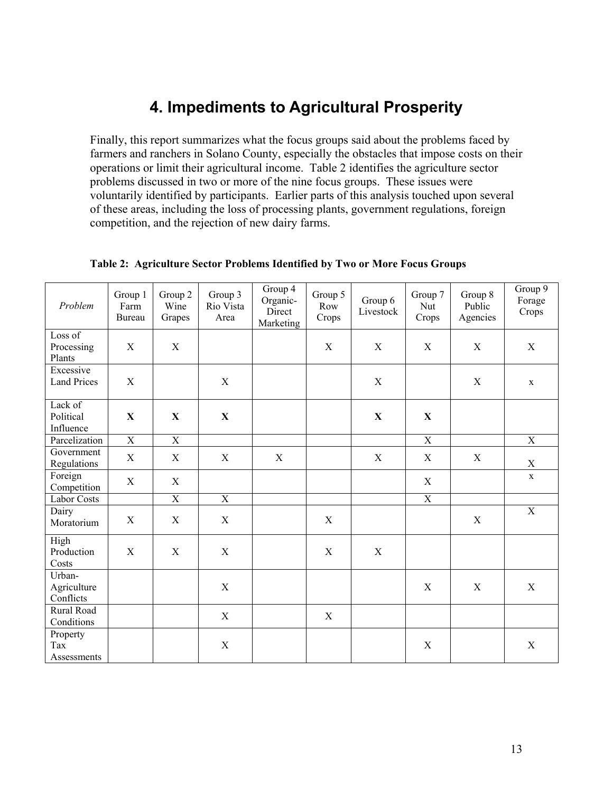## **4. Impediments to Agricultural Prosperity**

Finally, this report summarizes what the focus groups said about the problems faced by farmers and ranchers in Solano County, especially the obstacles that impose costs on their operations or limit their agricultural income. Table 2 identifies the agriculture sector problems discussed in two or more of the nine focus groups. These issues were voluntarily identified by participants. Earlier parts of this analysis touched upon several of these areas, including the loss of processing plants, government regulations, foreign competition, and the rejection of new dairy farms.

| Problem                            | Group 1<br>Farm<br>Bureau | Group 2<br>Wine<br>Grapes | Group 3<br>Rio Vista<br>Area | Group 4<br>Organic-<br>Direct<br>Marketing | Group 5<br>Row<br>Crops | Group 6<br>Livestock | Group 7<br>Nut<br>Crops | Group 8<br>Public<br>Agencies | Group 9<br>Forage<br>Crops |
|------------------------------------|---------------------------|---------------------------|------------------------------|--------------------------------------------|-------------------------|----------------------|-------------------------|-------------------------------|----------------------------|
| Loss of<br>Processing<br>Plants    | $\mathbf X$               | $\mathbf X$               |                              |                                            | X                       | X                    | $\mathbf X$             | X                             | $\mathbf X$                |
| Excessive<br><b>Land Prices</b>    | X                         |                           | X                            |                                            |                         | $\mathbf X$          |                         | X                             | $\mathbf x$                |
| Lack of<br>Political<br>Influence  | X                         | X                         | $\mathbf X$                  |                                            |                         | X                    | $\mathbf X$             |                               |                            |
| Parcelization                      | $\overline{X}$            | $\overline{X}$            |                              |                                            |                         |                      | $\mathbf X$             |                               | $\mathbf X$                |
| Government<br>Regulations          | X                         | $\mathbf X$               | X                            | $\mathbf X$                                |                         | $\mathbf X$          | X                       | X                             | $\mathbf X$                |
| Foreign<br>Competition             | $\mathbf X$               | $\mathbf X$               |                              |                                            |                         |                      | $\mathbf X$             |                               | $\mathbf X$                |
| Labor Costs                        |                           | $\overline{X}$            | $\overline{X}$               |                                            |                         |                      | $\overline{X}$          |                               |                            |
| Dairy<br>Moratorium                | X                         | X                         | $\mathbf X$                  |                                            | $\mathbf X$             |                      |                         | X                             | $\overline{X}$             |
| High<br>Production<br>Costs        | $\mathbf X$               | X                         | $\mathbf X$                  |                                            | $\mathbf X$             | $\mathbf X$          |                         |                               |                            |
| Urban-<br>Agriculture<br>Conflicts |                           |                           | $\mathbf X$                  |                                            |                         |                      | X                       | X                             | $\mathbf X$                |
| Rural Road<br>Conditions           |                           |                           | X                            |                                            | $\mathbf X$             |                      |                         |                               |                            |
| Property<br>Tax<br>Assessments     |                           |                           | X                            |                                            |                         |                      | X                       |                               | X                          |

**Table 2: Agriculture Sector Problems Identified by Two or More Focus Groups**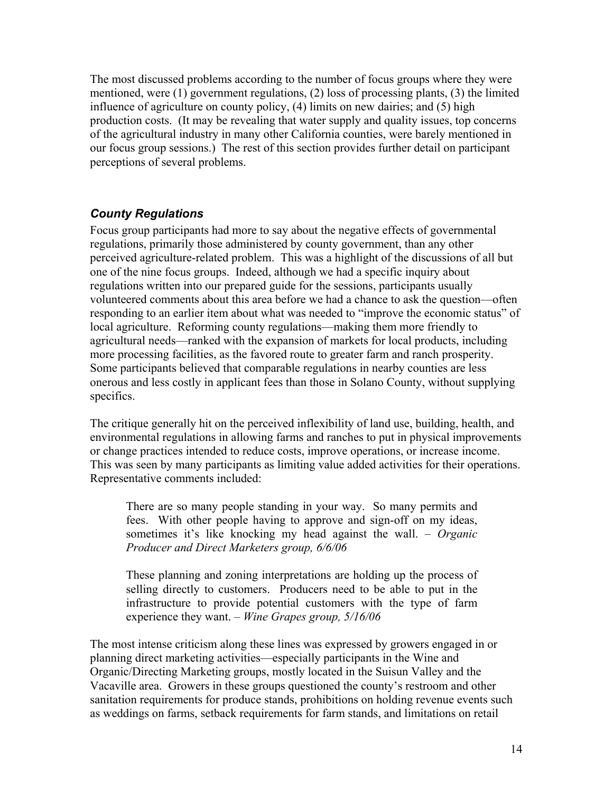The most discussed problems according to the number of focus groups where they were mentioned, were (1) government regulations, (2) loss of processing plants, (3) the limited influence of agriculture on county policy, (4) limits on new dairies; and (5) high production costs. (It may be revealing that water supply and quality issues, top concerns of the agricultural industry in many other California counties, were barely mentioned in our focus group sessions.) The rest of this section provides further detail on participant perceptions of several problems.

#### *County Regulations*

Focus group participants had more to say about the negative effects of governmental regulations, primarily those administered by county government, than any other perceived agriculture-related problem. This was a highlight of the discussions of all but one of the nine focus groups. Indeed, although we had a specific inquiry about regulations written into our prepared guide for the sessions, participants usually volunteered comments about this area before we had a chance to ask the question—often responding to an earlier item about what was needed to "improve the economic status" of local agriculture. Reforming county regulations—making them more friendly to agricultural needs—ranked with the expansion of markets for local products, including more processing facilities, as the favored route to greater farm and ranch prosperity. Some participants believed that comparable regulations in nearby counties are less onerous and less costly in applicant fees than those in Solano County, without supplying specifics.

The critique generally hit on the perceived inflexibility of land use, building, health, and environmental regulations in allowing farms and ranches to put in physical improvements or change practices intended to reduce costs, improve operations, or increase income. This was seen by many participants as limiting value added activities for their operations. Representative comments included:

There are so many people standing in your way. So many permits and fees. With other people having to approve and sign-off on my ideas, sometimes it's like knocking my head against the wall. – *Organic Producer and Direct Marketers group, 6/6/06*

These planning and zoning interpretations are holding up the process of selling directly to customers. Producers need to be able to put in the infrastructure to provide potential customers with the type of farm experience they want. *– Wine Grapes group, 5/16/06*

The most intense criticism along these lines was expressed by growers engaged in or planning direct marketing activities—especially participants in the Wine and Organic/Directing Marketing groups, mostly located in the Suisun Valley and the Vacaville area. Growers in these groups questioned the county's restroom and other sanitation requirements for produce stands, prohibitions on holding revenue events such as weddings on farms, setback requirements for farm stands, and limitations on retail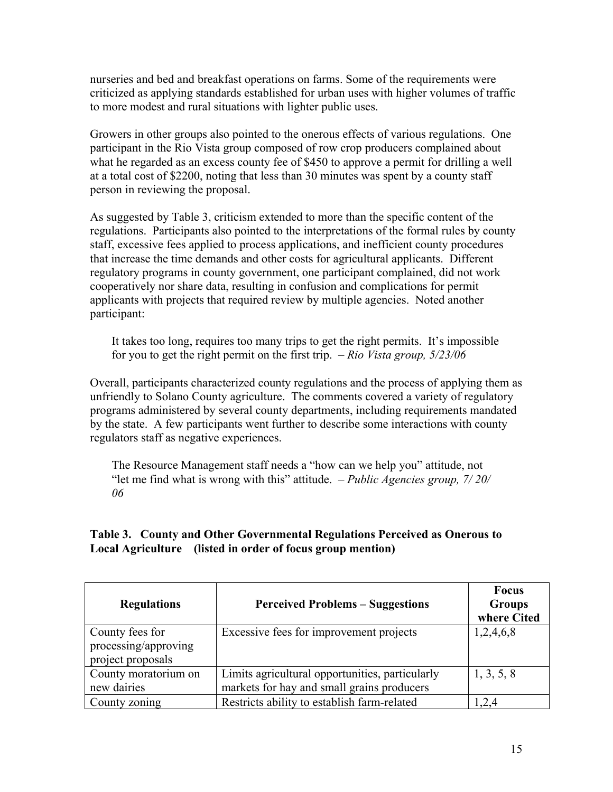nurseries and bed and breakfast operations on farms. Some of the requirements were criticized as applying standards established for urban uses with higher volumes of traffic to more modest and rural situations with lighter public uses.

Growers in other groups also pointed to the onerous effects of various regulations. One participant in the Rio Vista group composed of row crop producers complained about what he regarded as an excess county fee of \$450 to approve a permit for drilling a well at a total cost of \$2200, noting that less than 30 minutes was spent by a county staff person in reviewing the proposal.

As suggested by Table 3, criticism extended to more than the specific content of the regulations. Participants also pointed to the interpretations of the formal rules by county staff, excessive fees applied to process applications, and inefficient county procedures that increase the time demands and other costs for agricultural applicants. Different regulatory programs in county government, one participant complained, did not work cooperatively nor share data, resulting in confusion and complications for permit applicants with projects that required review by multiple agencies. Noted another participant:

It takes too long, requires too many trips to get the right permits. It's impossible for you to get the right permit on the first trip. *– Rio Vista group, 5/23/06*

Overall, participants characterized county regulations and the process of applying them as unfriendly to Solano County agriculture. The comments covered a variety of regulatory programs administered by several county departments, including requirements mandated by the state. A few participants went further to describe some interactions with county regulators staff as negative experiences.

The Resource Management staff needs a "how can we help you" attitude, not "let me find what is wrong with this" attitude. *– Public Agencies group, 7/ 20/ 06*

#### **Table 3. County and Other Governmental Regulations Perceived as Onerous to Local Agriculture (listed in order of focus group mention)**

| <b>Regulations</b>                                           | <b>Perceived Problems – Suggestions</b>                                                       | <b>Focus</b><br><b>Groups</b><br>where Cited |
|--------------------------------------------------------------|-----------------------------------------------------------------------------------------------|----------------------------------------------|
| County fees for<br>processing/approving<br>project proposals | Excessive fees for improvement projects                                                       | 1,2,4,6,8                                    |
| County moratorium on<br>new dairies                          | Limits agricultural opportunities, particularly<br>markets for hay and small grains producers | 1, 3, 5, 8                                   |
| County zoning                                                | Restricts ability to establish farm-related                                                   | 2,4                                          |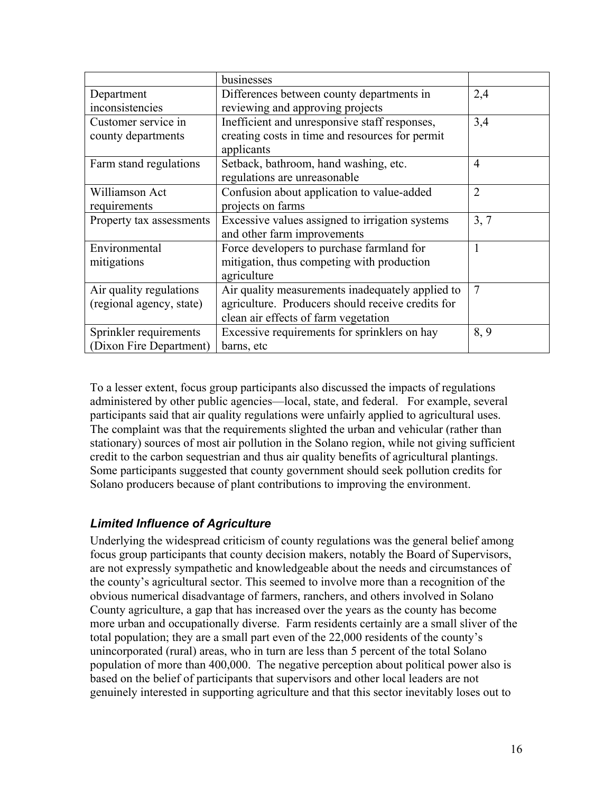|                          | businesses                                        |                |
|--------------------------|---------------------------------------------------|----------------|
| Department               | Differences between county departments in         | 2,4            |
| inconsistencies          | reviewing and approving projects                  |                |
| Customer service in      | Inefficient and unresponsive staff responses,     | 3,4            |
| county departments       | creating costs in time and resources for permit   |                |
|                          | applicants                                        |                |
| Farm stand regulations   | Setback, bathroom, hand washing, etc.             | 4              |
|                          | regulations are unreasonable                      |                |
| Williamson Act           | Confusion about application to value-added        | $\overline{2}$ |
| requirements             | projects on farms                                 |                |
| Property tax assessments | Excessive values assigned to irrigation systems   | 3, 7           |
|                          | and other farm improvements                       |                |
| Environmental            | Force developers to purchase farmland for         |                |
| mitigations              | mitigation, thus competing with production        |                |
|                          | agriculture                                       |                |
| Air quality regulations  | Air quality measurements inadequately applied to  | 7              |
| (regional agency, state) | agriculture. Producers should receive credits for |                |
|                          | clean air effects of farm vegetation              |                |
| Sprinkler requirements   | Excessive requirements for sprinklers on hay      | 8,9            |
| (Dixon Fire Department)  | barns, etc                                        |                |

To a lesser extent, focus group participants also discussed the impacts of regulations administered by other public agencies—local, state, and federal. For example, several participants said that air quality regulations were unfairly applied to agricultural uses. The complaint was that the requirements slighted the urban and vehicular (rather than stationary) sources of most air pollution in the Solano region, while not giving sufficient credit to the carbon sequestrian and thus air quality benefits of agricultural plantings. Some participants suggested that county government should seek pollution credits for Solano producers because of plant contributions to improving the environment.

## *Limited Influence of Agriculture*

Underlying the widespread criticism of county regulations was the general belief among focus group participants that county decision makers, notably the Board of Supervisors, are not expressly sympathetic and knowledgeable about the needs and circumstances of the county's agricultural sector. This seemed to involve more than a recognition of the obvious numerical disadvantage of farmers, ranchers, and others involved in Solano County agriculture, a gap that has increased over the years as the county has become more urban and occupationally diverse. Farm residents certainly are a small sliver of the total population; they are a small part even of the 22,000 residents of the county's unincorporated (rural) areas, who in turn are less than 5 percent of the total Solano population of more than 400,000. The negative perception about political power also is based on the belief of participants that supervisors and other local leaders are not genuinely interested in supporting agriculture and that this sector inevitably loses out to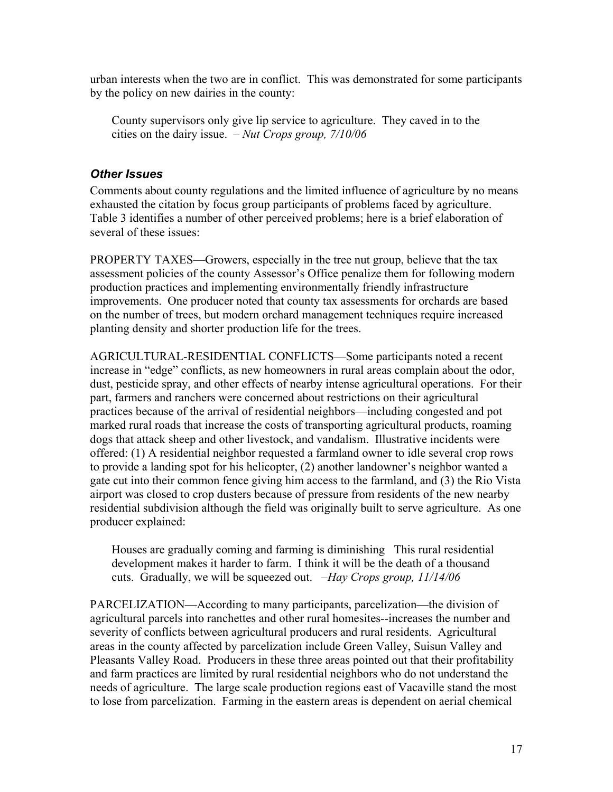urban interests when the two are in conflict. This was demonstrated for some participants by the policy on new dairies in the county:

County supervisors only give lip service to agriculture. They caved in to the cities on the dairy issue. – *Nut Crops group, 7/10/06*

#### *Other Issues*

Comments about county regulations and the limited influence of agriculture by no means exhausted the citation by focus group participants of problems faced by agriculture. Table 3 identifies a number of other perceived problems; here is a brief elaboration of several of these issues:

PROPERTY TAXES—Growers, especially in the tree nut group, believe that the tax assessment policies of the county Assessor's Office penalize them for following modern production practices and implementing environmentally friendly infrastructure improvements. One producer noted that county tax assessments for orchards are based on the number of trees, but modern orchard management techniques require increased planting density and shorter production life for the trees.

AGRICULTURAL-RESIDENTIAL CONFLICTS—Some participants noted a recent increase in "edge" conflicts, as new homeowners in rural areas complain about the odor, dust, pesticide spray, and other effects of nearby intense agricultural operations. For their part, farmers and ranchers were concerned about restrictions on their agricultural practices because of the arrival of residential neighbors—including congested and pot marked rural roads that increase the costs of transporting agricultural products, roaming dogs that attack sheep and other livestock, and vandalism. Illustrative incidents were offered: (1) A residential neighbor requested a farmland owner to idle several crop rows to provide a landing spot for his helicopter, (2) another landowner's neighbor wanted a gate cut into their common fence giving him access to the farmland, and (3) the Rio Vista airport was closed to crop dusters because of pressure from residents of the new nearby residential subdivision although the field was originally built to serve agriculture. As one producer explained:

Houses are gradually coming and farming is diminishing This rural residential development makes it harder to farm. I think it will be the death of a thousand cuts. Gradually, we will be squeezed out. *–Hay Crops group, 11/14/06* 

PARCELIZATION—According to many participants, parcelization—the division of agricultural parcels into ranchettes and other rural homesites--increases the number and severity of conflicts between agricultural producers and rural residents. Agricultural areas in the county affected by parcelization include Green Valley, Suisun Valley and Pleasants Valley Road. Producers in these three areas pointed out that their profitability and farm practices are limited by rural residential neighbors who do not understand the needs of agriculture. The large scale production regions east of Vacaville stand the most to lose from parcelization. Farming in the eastern areas is dependent on aerial chemical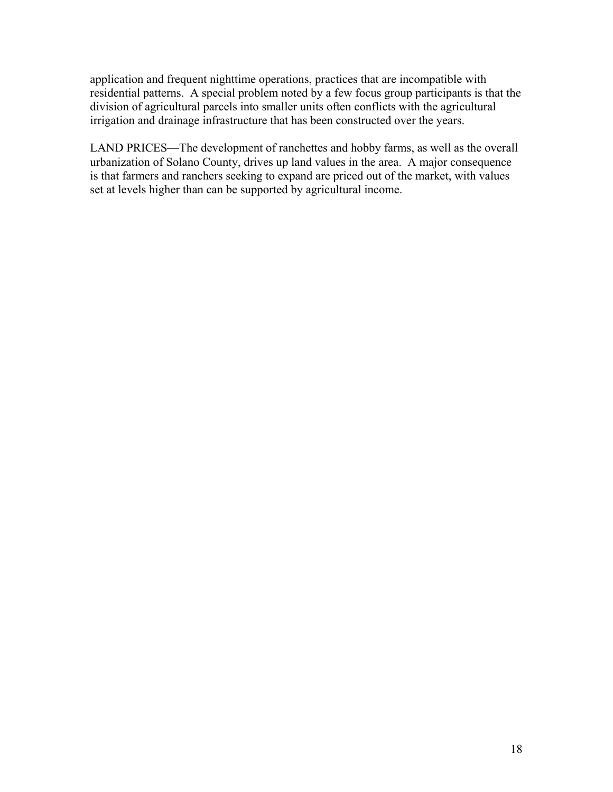application and frequent nighttime operations, practices that are incompatible with residential patterns. A special problem noted by a few focus group participants is that the division of agricultural parcels into smaller units often conflicts with the agricultural irrigation and drainage infrastructure that has been constructed over the years.

LAND PRICES—The development of ranchettes and hobby farms, as well as the overall urbanization of Solano County, drives up land values in the area. A major consequence is that farmers and ranchers seeking to expand are priced out of the market, with values set at levels higher than can be supported by agricultural income.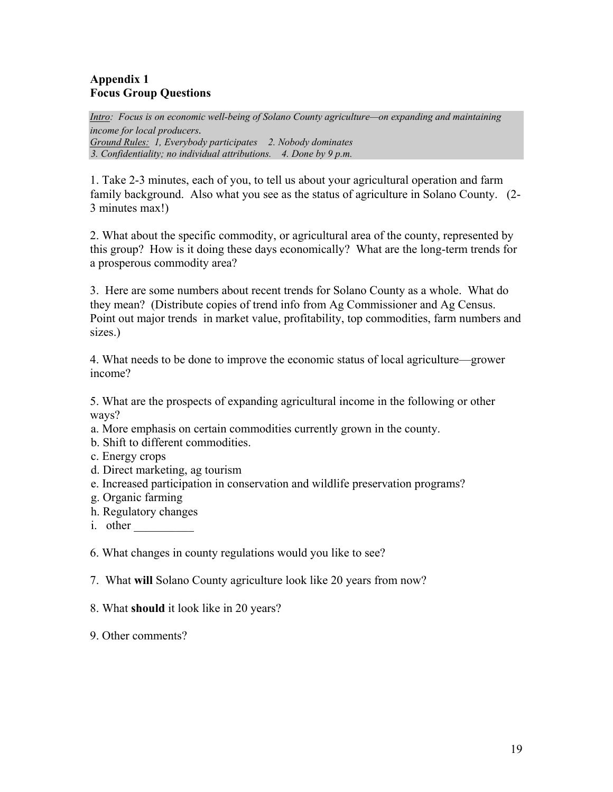#### **Appendix 1 Focus Group Questions**

*Intro: Focus is on economic well-being of Solano County agriculture—on expanding and maintaining*  income for local producers.<br>Ground Rules: 1, Everybody participates 2. Nobody dominates  *3. Confidentiality; no individual attributions. 4. Done by 9 p.m.* 

1. Take 2-3 minutes, each of you, to tell us about your agricultural operation and farm family background. Also what you see as the status of agriculture in Solano County. (2- 3 minutes max!)

2. What about the specific commodity, or agricultural area of the county, represented by this group? How is it doing these days economically? What are the long-term trends for a prosperous commodity area?

3. Here are some numbers about recent trends for Solano County as a whole. What do they mean? (Distribute copies of trend info from Ag Commissioner and Ag Census. Point out major trends in market value, profitability, top commodities, farm numbers and sizes.)

4. What needs to be done to improve the economic status of local agriculture—grower income?

5. What are the prospects of expanding agricultural income in the following or other ways?

a. More emphasis on certain commodities currently grown in the county.

- b. Shift to different commodities.
- c. Energy crops
- d. Direct marketing, ag tourism
- e. Increased participation in conservation and wildlife preservation programs?
- g. Organic farming
- h. Regulatory changes
- i. other

6. What changes in county regulations would you like to see?

- 7. What **will** Solano County agriculture look like 20 years from now?
- 8. What **should** it look like in 20 years?

9. Other comments?